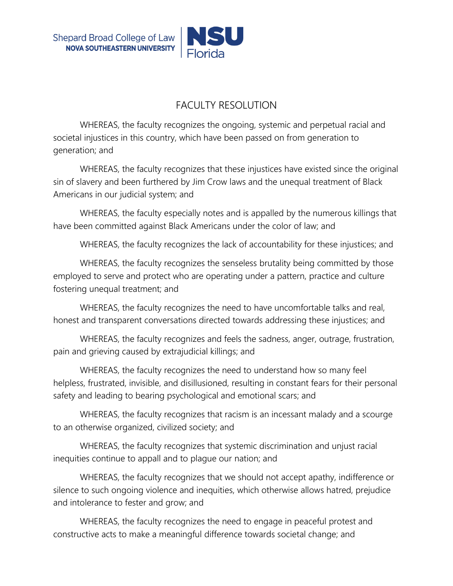## FACULTY RESOLUTION

WHEREAS, the faculty recognizes the ongoing, systemic and perpetual racial and societal injustices in this country, which have been passed on from generation to generation; and

WHEREAS, the faculty recognizes that these injustices have existed since the original sin of slavery and been furthered by Jim Crow laws and the unequal treatment of Black Americans in our judicial system; and

WHEREAS, the faculty especially notes and is appalled by the numerous killings that have been committed against Black Americans under the color of law; and

WHEREAS, the faculty recognizes the lack of accountability for these injustices; and

WHEREAS, the faculty recognizes the senseless brutality being committed by those employed to serve and protect who are operating under a pattern, practice and culture fostering unequal treatment; and

WHEREAS, the faculty recognizes the need to have uncomfortable talks and real, honest and transparent conversations directed towards addressing these injustices; and

WHEREAS, the faculty recognizes and feels the sadness, anger, outrage, frustration, pain and grieving caused by extrajudicial killings; and

WHEREAS, the faculty recognizes the need to understand how so many feel helpless, frustrated, invisible, and disillusioned, resulting in constant fears for their personal safety and leading to bearing psychological and emotional scars; and

WHEREAS, the faculty recognizes that racism is an incessant malady and a scourge to an otherwise organized, civilized society; and

WHEREAS, the faculty recognizes that systemic discrimination and unjust racial inequities continue to appall and to plague our nation; and

WHEREAS, the faculty recognizes that we should not accept apathy, indifference or silence to such ongoing violence and inequities, which otherwise allows hatred, prejudice and intolerance to fester and grow; and

WHEREAS, the faculty recognizes the need to engage in peaceful protest and constructive acts to make a meaningful difference towards societal change; and